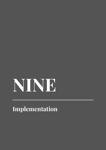# **NINE**

**Implementation**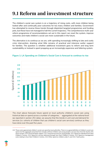# **9.1 Reform and investment structure**

The children's social care system is on a trajectory of rising costs, with more children being looked after and continually poor outcomes for too many children and families. Government has attempted to reverse these trends through disjointed targeted programmes and funding pots, but these have not managed to halt the current trajectory. The comprehensive multi-year reform programme of recommendations set out in this report can reset the system, improve outcomes and make children's social care more sustainable in the future.

The alternative is to continue as we are, with spending increasingly shifting to late and costly crisis intervention, draining what little remains of practical and intensive earlier support for families. The question is whether additional investment goes to reform and long term sustainability or instead is spent propping up an increasingly expensive and faltering system.



#### **Figure 1: LA Spending on Children's Social Care is forecast to continue to rise**

*The chart above forecasts future spend on local authority children's social care using historical data on spend across a number of categories,121 aggregated at the national level (as reported in section 251 data), we assume that the trends in unit cost and demand for services (i.e. cohorts of children that use children's social care services) continue as they* 

<sup>121</sup> These costs approximate children's social care spend by local authorities. There is no agreed definition of children's social care spend, but the aggregate presented here includes all those Children and young people's services lines from the Section 251 return except: 3.4.5 Universal family support, 3.5.1 Universal services for young people, 3.0.1 Spend on individual Sure Start Children's Centres, 3.0.2 Spend for services delivered through Sure Start Children's Centres, 3.0.3 Spend on management costs relating to Sure Start Children's Centres, 3.0.4 Other spend on children under 5, and 3.6.1 Youth justice.

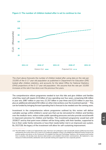



*The chart above forecasts the number of children looked after using data on the rate per 10,000 of the 0-17 year old population as published in Department for Education (DfE) looked after children statistics, and accounts for the latest Office for National Statistics (ONS) projections of the 0-17 year old population. We assume that the rate per 10,000 increases at the rate it has done over the previous five years.*

The comprehensive reform programme needed to turn this tide and give children and families what they need will require £2.6 billion of new spending over four years, comprising £46 million in year one, £987 million in year two, £1.257 billion in year three and £233 million in year four, plus an additional estimated £50 million on other interventions over the investment period.<sup>122</sup> This can be funded by bringing forward spending that is forecast to be needed over the coming years.

Investment in the comprehensive reform programme outlined by this review will deliver cashable savings within children's social care that can be reinvested for children and families over the medium-term, reduce wider public spending pressures and also provide social benefit in improved outcomes for children and families. This investment programme would last until 2026/27 and by that point more children will be living safely with their families, supported to live in their wider family networks or have their needs better met in an improved care system. By 2027/28, the legacy of the investment will allow for self-sustaining improvement.

<sup>122</sup> The £50 million is made up of approximate costs, that have not undergone a full cost benefit analysis (CBA) but have been estimated by the review team over 4 years to (1) modernise adoption contact, (2) establish the National Practice Group to set practice guides and advise on the Framework, (3) establish the Data and Technology Taskforce, (4) Increased social worker time in practice, (5) develop more decisive interventions and establish intervention commissioners, (6) implement a new measure of child and family satisfaction and (7) provide training and support for new corporate parents.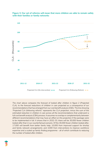

**Figure 3: Our set of reforms will mean that more children are able to remain safely with their families or family networks**

*The chart above compares the forecast of looked after children in figure 2 (Projected CLA), to the forecast reductions of children in care projected as a consequence of our recommendations that has emerged from our cost benefit analysis (CBA). The line showing 'Projected CLA (following reform)" represents the CLA projection, minus the sum of the estimated reduction in children in care across all the recommendations that underwent a full cost benefit analysis (CBA) process. It assumes no overlap or complementarity between different recommendations that may have an effect on this projection if the package were*  to be implemented in full. It shows that in 2032-33, there will be 30,000 fewer children *looked after than in our counterfactual scenario. Of the 30,000 fewer children looked after, 17,000 will benefit from better family help; 10,000 from improved support for kinship and family network arrangements; and 3,000 from interventions to improve workforce expertise and a scaled up family finding programme - all of which contribute to reducing the number of looked after children.*

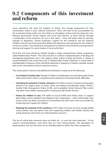### **9.2 Components of this investment and reform**

Local authorities will need the freedom to deliver this change programme for their communities within a clear national framework. There will need to be accountability for the investment being made, but also efforts to strengthen system learning along the way. National government should support and serve local delivery of these reforms through a combination of the measures set out in this report - more and better data for learning, changes to legislation, revised inspection, support for the workforce and the National Children's Social Care Framework that defines the objectives and outcomes for the children's social care system. This framework will guide the investment and should be accompanied by training and support for senior leaders in local authorities.

All of this and more should be funded through a single comprehensive reform programme called *Relationships Protect*. This will avoid the re-creation of disjointed pots of funding and overlapping programmes and it will support whole system change led locally. A subset of recommendations that would form part of *Relationships Protect* represent a critical path of interdependent measures which should be delivered in sequence to release cashable savings that can be reinvested to improve outcomes at pace.

This critical path of reforms and additional investments is made up of the following:

- **• A revolution in Family Help**: Roughly £2 billion on building the new and high quality Family Help system that is able to comprehensively respond to entrenched family difficulties.
- **• Unlocking the potential of family networks:** £23 million must be invested to bring parity between the support given to foster carers and Special Guardianship Orders (SGO) / kinship Child Arrangement Orders (CAO), and to establish Family Network Plans which will mean more children staying within a loving and safe family network.
- **• Homes for children in care:** £76 million to recruit 9,000 more foster carers, to support them better, and to establish new Regional Care Cooperatives – which will provide more homes which are better connected to communities and with carers who can provide the loving long term support for children.
- **• Realising the potential of the workforce:** £253 million to ensure we have enough skilled social workers who can spend more time supporting children and families directly and acting decisively when there are child protection concerns.

This list of critical path measures does not reflect all - or even the most important - of the review's recommendations, only those that are most interconnected. The description of phasing below sets out why these are so interdependent to deliver the entire programme.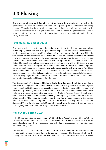## **9.3 Phasing**

**Our proposed phasing and timetable is set out below.** In responding to the review, the government will need to consider the pace and sequencing for recommendations, taking account of financial, legislative, workforce and organisational constraints, as well as the wider context of other reforms that might impact the sector. However the government decides to sequence reforms, we would expect the aspirations and level of ambition to match that set out by this review.

#### **First steps (by end of 2022)**

Government will need to start work immediately and during the first six months publish a **White Paper,** which sets out a full government response to the review. Government will need to consult on the most significant changes it intends to make through a **new Bill** in the final session of this Parliament. At the same time it should establish *Relationships Protect* as a major programme and put in place appropriate governance to oversee delivery and implementation. That governance should build on the approach we have taken to the review first and foremost placing lived experience at the heart but also working with those who lead and work in the system.Alongside this broader commitment to reform, an immediate priority for government should be to launch a **new foster carer recruitment programme**. Prioritising this recommendation, which will deliver 3,000 new foster carers each year from 2023, will reduce pressures on residential care and mean that children in care - particularly teenagers are more likely to get the home and care they need. This initial step will also lay foundations for the later introduction of Regional Care Cooperatives.

The development of a **National Children's Social Care Framework** will bring together in one place the objectives, outcomes, indicators and practice guidance to support system improvement. Whilst it may not be possible to have all indicators ready within six months of publication (particularly where we have identified new data collections), government should make early progress by appointing members of the National Practice Group who will advise on the overall Framework and develop practice guides, agreeing the outcomes and indicators where possible. This should be supplemented by starting to make changes to the existing professional development programmes for the **workforce**, including the Assessed and Supported Year in Employment (ASYE) and other social work development programmes, to start aligning them with the future Early Career Framework (ECF).

#### **Roll out (by Spring 2024)**

In the 18 month period between January 2023 and Royal Assent of a new Children's Social Care Bill, implementation should focus on the delivery of recommendations which do not require legislation, or where foundations need to be laid in preparation for legislation being passed in Spring 2024.

The first version of the **National Children's Social Care Framework** should be developed by mid-2023, alongside amendments to *Working Together*. The Framework should be accompanied by confirmation of the resources that local authorities will have to deliver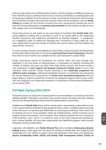reforms in the initial years of *Relationships Protect*, with the majority of additional resources from 2024/25, to give a sufficient lead in time so that local authorities can develop plans and bring partners together to hit the ground running. Launching the Framework will encourage local authorities to begin delivering other practice-based recommendations, such as **family finding** (an enabler for the mission to ensure that every young person leaving care has at least two loving relationships) and **parental representation** (so that families are able to more fully engage with court proceedings).

During this period we will expect to see areas begin to transform their **Family Help** offer, using additional funding that is provided as part of an overall uplift to the Supporting Families Programme and enabled by amendments to *Working Together* - in preparation for a significant uplift of funding the following year. Investment in Family Help will, over time, significantly increase the number of children who can live safely with their families and improve their outcomes.

To ensure greater retention and upskilling of social workers, during this phase the Department for Education (DfE) should start to roll out the **social work Early Career Framework** so that the first cohort of social workers can complete the five year framework in around 2028.

Finally, government should lay foundations for reforms which will come through new legislation in the next phase of implementation. In anticipation of radically increasing the number of children who grow up within their wider family network, this should include a new programme of **peer support and bespoke training for kinship carers** in every local authority**.** Other priorities should include launching a new **leadership programme for children's home managers**, addressing immediate pressures in residential care and paving the way for Regional Care Cooperatives. The **foster carer recruitment programme** will have begun delivery, and local authorities should be encouraged to approve these carers within their new Regional Care Cooperative footprints, in anticipation of these being established in law by spring 2024.

#### **Full flight (Spring 2024-2027)**

During this phase we expect the remaining bulk of recommendations to commence and start yielding benefits. Preparation work done in the previous phase will reduce the time required between the Bill gaining Royal Assent and full implementation commencing.

Neighbourhood **Family Help** Teams will be coming online, representing a substantial increase in the support offered to families facing significant stress, under a simplified legal framework where the focus is on practical and skilled help not assessing and referring. These teams will be tailoring services to local population needs, be multidisciplinary, making increased use of evidence based interventions, and be based in and working alongside the local community. Child protection cases will be co-worked by some of the most experienced practitioners and a unique identifier will have been implemented and significant progress made towards frictionless sharing of information.

Legislation will establish a new **Family Network Plan** and a mandatory **family group decision making** process, which gives time and space for families to develop their own supported and funded plans for care. Whilst we expect some local authorities to join those who already pay **Special Guardianship Orders** (**SGOs) and kinship Child Arrangement Orders (CAOs) an**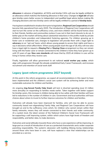**allowance** in advance of legislation, all SGOs and kinship CAOs will now be legally entitled to an allowance which matches the fostering allowance in their area. Changes to **legal aid** will also give kinship carers better access to independent and qualified legal advice before making life changing decisions and new kinship carers will be legally entitled to a period of **kinship leave**.

Having been established in shadow form prior to legislation, **Regional Care Cooperatives** should become fully operational from early 2025. The introduction of Regional Care Cooperatives will start to turn the corner on the sufficiency crisis, and more children will be found homes close to their friends, families and communities (unless it was not in their best interests to do so). A better grip on the market will bring about substantial reductions in the profits made by private children's home providers and independent fostering agencies. For children growing up in foster care or residential care, changes to legislation will provide them with a legal right to **advocacy** on an ''opt-out' basis, which allows young people to access their rights and have a say in decisions which affect them. When young people reach the age of 18, they will now also have a legal right to request a **Staying Put** or **Staying Close** arrangement so they can remain living with the foster carer or remain connected to the children's home they have grown up in until 23 years of age. **New care standards** will mean that by 2025 all children in care will be living in homes where they receive care.

Finally, legislation will allow government to set national **social worker pay scales**, which align with progression through the already established Early Career Framework, and increase recruitment and retention of social work staff.

#### **Legacy (post reform programme 2027 beyond)**

At this point in the reform programme, we expect all recommendations in this report to have been implemented and the children's social care system will be achieving better and more sustainable outcomes for children and families.

An ongoing **ring-fenced Family Help Grant** will lock in diverted spending (over £1 billion more annually) on responding to families needs earlier. Taken together with better support for kinship carers, this increase in children being able to live safely with their families will have led to reductions in the number of children in care. Government and local authorities will have choices about where to invest to further improve outcomes for children and families.

Outcomes will already have been improved for families, who will now be able to access community based non-stigmatising Family Help, and Regional Care Cooperatives will have brought an end to the sufficiency crisis which, for children who cannot remain within their family networks, means they will remain connected to their friends and wider community. At a system level, the latest version of the National Children's Social Care Framework will be supporting a self improving system, within which actors have high levels of freedom and responsibility, and better data, to make decisions.

Outcomes and social attitudes towards those who have a care experience will be improving, in large part as a result of introduction of care as a protected characteristic and a wider corporate parenting responsibility. The system's obsession with building lifelong loving relationships around those who have been in care, will have replaced a view that relationships can be provided as a service.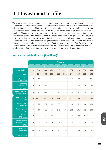## **9.4 Investment profile**

The review has aimed to provide costings for our recommendations that are as comprehensive as possible. The table below sets out the recommendations on which we have carried out a full cost benefit analysis. There are other recommendations where the review has provided an estimated cost - these are set out in individual recommendation annexes. In a small number of instances, we have not been able to provide the cost of recommendations, either because the information needed to cost the recommendation is not publicly available, such as the administrative cost of implementing the review to central government departments, or because we have left discretion for government and the sector to consider how best to implement recommendations which would affect both costs and benefits. Government will need to consider any further costs that this review has not been able to estimate, as well as continuing to refine the costings we have presented as part of implementation.

|                                                               | <b>Years</b>   |                |        |        |      |                 |                |      |      |      |  |
|---------------------------------------------------------------|----------------|----------------|--------|--------|------|-----------------|----------------|------|------|------|--|
|                                                               | $\overline{1}$ | $\overline{2}$ | 3      | 4      | 5    | $6\phantom{1}6$ | $\overline{7}$ | 8    | 9    | 10   |  |
| <b>Family Help</b>                                            | $\mathbf 0$    | $-514$         | $-930$ | $-472$ | $-6$ | 359             | 507            | 520  | 534  | 549  |  |
| Care                                                          | $-9$           | $-124$         | $-58$  | 107    | 183  | 221             | 244            | 250  | 258  | 266  |  |
| <b>Regional Care</b><br>Cooperatives                          | $\mathcal O$   | $-50$          | $-50$  | 31     | 79   | 115             | 135            | 139  | 143  | 148  |  |
| Fostering<br>Recruitment<br>campaign                          | $-9$           | 8              | 25     | 51     | 70   | 71              | 73             | 74   | 76   | 78   |  |
| <b>Extended Family</b><br><b>Support Model</b>                | $\mathcal{O}$  | $-82$          | $-33$  | 33     | 34   | 35              | 36             | 37   | 39   | 40   |  |
| <b>Alternatives to</b><br>care                                | $-5$           | $-201$         | $-41$  | 224    | 297  | 342             | 365            | 388  | 411  | 436  |  |
| SGO & kinship<br>CAO allowance                                | $\mathcal{O}$  | $-157$         | $-75$  | 32     | 92   | 123             | 132            | 141  | 150  | 159  |  |
| <b>Family Network</b><br>Plans                                | $\mathcal{O}$  | $-36$          | 11     | 138    | 148  | 159             | 170            | 181  | 192  | 203  |  |
| Legal aid for SGO<br>and CAO carers                           | $\overline{O}$ | $\overline{4}$ | 35     | 66     | 69   | 72              | 75             | 78   | 81   | 85   |  |
| Statutory kinship<br>leave for SGOs<br>and CAOs               | $\mathcal{O}$  | $-6$           | $-6$   | $-6$   | $-6$ | $-6$            | $-6$           | $-6$ | $-6$ | $-6$ |  |
| Introducing<br>preparation<br>workshops for<br>kinship carers | $-5$           | $-6$           | $-6$   | $-6$   | $-6$ | $-6$            | $-6$           | $-6$ | $-6$ | $-5$ |  |

#### **Impact on public finance (£millions)\***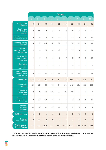|                                                           | <b>Years</b>   |                |             |                         |                |                |                |                |                |              |
|-----------------------------------------------------------|----------------|----------------|-------------|-------------------------|----------------|----------------|----------------|----------------|----------------|--------------|
|                                                           | $\overline{1}$ | $\overline{2}$ | 3           | $\overline{\mathbf{4}}$ | $\overline{5}$ | $6\phantom{a}$ | $\overline{7}$ | 8              | $\overline{9}$ | 10           |
| <b>Care Leaver</b><br><b>Missions</b>                     | $-5$           | $-74$          | $-99$       | $-44$                   | $-31$          | $-35$          | $-35$          | $-34$          | $-34$          | $-31$        |
| Scaling up a<br>family finding<br>program                 | $\cal O$       | $-58$          | $-54$       | $\overline{2}$          | $-1$           | $-6$           | $-6$           | $-6$           | $-6$           | $-5$         |
| <b>Extending Staying</b><br><b>Put arrangements</b>       | $\mathcal O$   | $\cal O$       | $-7$        | $-16$                   | $-17$          | $-17$          | $-17$          | $-18$          | $-18$          | $-18$        |
| <b>Extending Staying</b><br>Close pilots                  | $\mathcal O$   | $\cal O$       | $-14$       | $-6$                    | 13             | 22             | 25             | 27             | 30             | 33           |
| Scaling up<br>supported lodging<br>programmes             | $\cal O$       | $-9$           | $-16$       | $-16$                   | $-17$          | $-17$          | $-18$          | $-18$          | $-19$          | $-19$        |
| Increasing the<br>setting up home<br>allowance            | $-4$           | $-4$           | $-5$        | $-5$                    | $-6$           | $-7$           | -8             | -8             | $-9$           | $-10$        |
| Care leaver<br>bursary for<br>apprentices                 | $-1$           | $-1$           | $-1$        | $-1$                    | $-1$           | $-1$           | $-1$           | $-1$           | $^{\rm -1}$    | $^{\rm -1}$  |
| <b>Extending free</b><br>prescriptions to<br>care leavers | $\cal O$       | $-2$           | $-2$        | $-3$                    | $-3$           | $-3$           | $-3$           | $-3$           | $-3$           | $-3$         |
| <b>Workforce</b>                                          | $-27$          | $-57$          | $-121$      | $-48$                   | 10             | 119            | 144            | 166            | 170            | 176          |
| Creating a five<br>year ECF                               | $-23$          | $-37$          | $-22$       | 40                      | 94             | 142            | 146            | 151            | 155            | 160          |
| <b>Introducing</b><br>national pay<br>scales              | 0              | $\mathcal O$   | -79         | $-79$                   | -79            | $-31$          | 15             | $\mathbf 1$    | $\mathbf{1}$   | $\mathbf{1}$ |
| <b>National rules</b><br>and regional staff<br>banks      | $\mathcal O$   | $-14$          | $-14$       | $-4$                    | $-1$           | $\overline{4}$ | $\mathcal{G}$  | 10             | 10             | $11\,$       |
| Residential<br>leadership<br>programme                    | $-4$           | $-6$           | $-6$        | $-5$                    | $-4$           | $\overline{4}$ | $\overline{4}$ | $\overline{4}$ | $\overline{4}$ | $\sqrt{4}$   |
| <b>Child Advocacy</b>                                     | $\mathbf 0$    | $-7$           | $\mathbf 1$ | $\mathbf 1$             | $\mathbf 1$    | $\overline{2}$ | $\overline{2}$ | $\overline{2}$ | 3              | 3            |
| <b>Parental</b><br>Representation                         | $\mathbf 0$    | $-10$          | $-9$        | -8                      | $-7$           | $-7$           | $-7$           | $-6$           | $-5$           | $-3$         |
| <b>Total Impact on</b><br><b>Public FInance</b>           | $-46$          | $-987$         | $-1257$     | $-233$                  | 446            | 1007           | 1227           | 1293           | 1345           | 1404         |

*\* Note: Year one is calculated with the assumption that it begins in 2023-24. If some recommendations are implemented later than presented here, the costs and savings will need to be adjusted to take account of inflation.*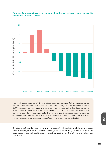



*The chart above sums up all the monetised costs and savings that are incurred by, or return to, the exchequer in all the models that have undergone the cost benefit analysis (CBA) process. The vast majority of savings return to local authorities (approximately 90%). The chart assumes that additional investment starts in 2023/24, and shows that we would begin to see savings greater than costs in Year five. It assumes no overlap or complementarity between either the costs or benefits of the recommendations that may have an effect on this projection if the package were to be implemented in full.*

Bringing investment forward in the way we suggest will result in a rebalancing of spend towards keeping children and families safely together, while ensuring children in care and care leavers receive the high quality services that they need to help them thrive in childhood and into adulthood.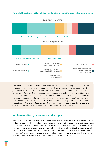#### **Figure 5: Our reforms will result in a rebalancing of spend toward help and protection**



*The above chart presents two scenarios. First, it forecasts local authority spend in 2032/33 if the current trajectories of demand and cost continue in the way they have done over the past five years. Second, it shows how our reform plan will have an effect on these spend categories in 2032/33. The chart assumes that additional investment starts in 2023/24 and as above, it assumes no overlap or complementarity between either the costs or benefits of the recommendations that may have an effect on this projection if the package were to be*  implemented in full. The above bars are scaled to show how the proportion of expenditure *across local authority spend categories will change, not how the overall quantum of spend is different in the two scenarios. See earlier in the chapter for more information.*

#### **Implementation governance and support**

Sound policy too often falls down at implementation. Evidence suggests that guidelines, policies and information for those implementing a programme are not on their own effective, and that long term multi-level implementation strategies which involve those who have developed the programme on a continuing basis are more effective (Fixsen et al., 2005). Similarly, work by the Institute for Government highlights that, amongst other things, there is a clear need for government to stay close to those who are implementing policies to understand how they are working, and to use ministers to drive progress (Norris et al., 2014).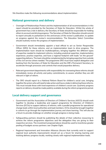We therefore make the following recommendations about implementation:

#### **National governance and delivery**

- Oversight of *Relationships Protect* and the implementation of all recommendations in this report should be provided by the Secretary of State for Education. Whilst the whole of government has a role in delivery, the Secretary of State should be responsible for holding others to account and driving progress. The Secretary of State for Education should commit to report annually to parliament on the anniversary of the review's publication, to update on progress against the review's recommendations. The Education Select Committee should routinely review the progress of implementation.
- Government should immediately appoint a lead official to act as Senior Responsible Officer (SRO) for these reforms, and an implementation team to drive progress. The implementation team should be multidisciplinary, bringing together the different types of expertise needed to implement reforms, including analytical expertise, implementation experience, practice expertise, and have a regional footprint with leads "on the ground" supporting delivery. The team should be complemented by bringing expertise from outside of the civil service where needed. The programme SRO must have explicit delegation and backing from the Secretary of State for Education and the DfE's Permanent Secretary, to accelerate through processes and controls that would jeopardise delivery.
- Relevant government departments with responsibility for overseeing these reforms should immediately review all activity and policy commitments, to assess whether they are still relevant in light of reform.
- The SRO should report to a National Reform Board for children's social care, bringing together the actors who will need to take action and have a stake in delivering these reforms. This must include those with lived experience of children's social care. Quarterly progress reports on delivery should be made publicly available during the reform programme period.

#### **Local delivery support and governance**

- Government and the Association of Directors of Children's Services (ADCS) should work together to develop a leadership and support programme for Directors of Children's Services (DCSs) to support delivery of reforms, with a parallel programme for operational change leads within local authorities and lead members. DCSs should be brought together in cohorts to go through the implementation journey and share learning. This will also be a forum to provide challenge on whether enough progress is being made.
- Safeguarding partners should be publishing the details of their collective resourcing to achieve the reform programme objectives and the delegation they are giving to their respective services. The investment proposed above should be used to incentivise greater pooling of budgets across partners: see Chapter Eight.
- Regional Improvement and Innovation Alliances (forums that currently exist to support regional local authority improvement) should act as a forum for sharing learning and tracking delivery progress locally, working closely with regional implementation leads.